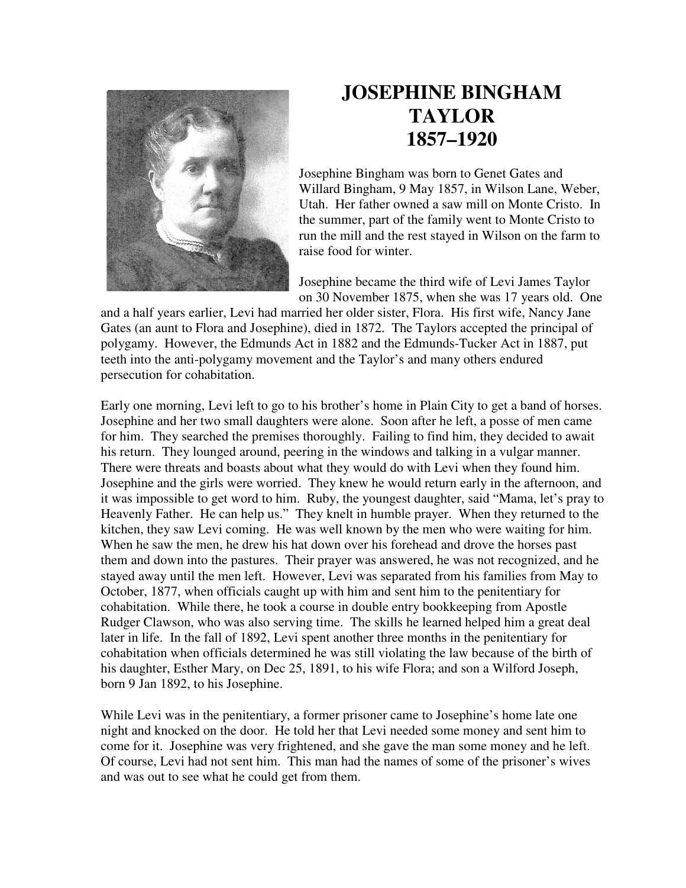

## **JOSEPHINE BINGHAM TAYLOR 1857–1920**

Josephine Bingham was born to Genet Gates and Willard Bingham, 9 May 1857, in Wilson Lane, Weber, Utah. Her father owned a saw mill on Monte Cristo. In the summer, part of the family went to Monte Cristo to run the mill and the rest stayed in Wilson on the farm to raise food for winter.

Josephine became the third wife of Levi James Taylor on 30 November 1875, when she was 17 years old. One

and a half years earlier, Levi had married her older sister, Flora. His first wife, Nancy Jane Gates (an aunt to Flora and Josephine), died in 1872. The Taylors accepted the principal of polygamy. However, the Edmunds Act in 1882 and the Edmunds-Tucker Act in 1887, put teeth into the anti-polygamy movement and the Taylor's and many others endured persecution for cohabitation.

Early one morning, Levi left to go to his brother's home in Plain City to get a band of horses. Josephine and her two small daughters were alone. Soon after he left, a posse of men came for him. They searched the premises thoroughly. Failing to find him, they decided to await his return. They lounged around, peering in the windows and talking in a vulgar manner. There were threats and boasts about what they would do with Levi when they found him. Josephine and the girls were worried. They knew he would return early in the afternoon, and it was impossible to get word to him. Ruby, the youngest daughter, said "Mama, let's pray to Heavenly Father. He can help us." They knelt in humble prayer. When they returned to the kitchen, they saw Levi coming. He was well known by the men who were waiting for him. When he saw the men, he drew his hat down over his forehead and drove the horses past them and down into the pastures. Their prayer was answered, he was not recognized, and he stayed away until the men left. However, Levi was separated from his families from May to October, 1877, when officials caught up with him and sent him to the penitentiary for cohabitation. While there, he took a course in double entry bookkeeping from Apostle Rudger Clawson, who was also serving time. The skills he learned helped him a great deal later in life. In the fall of 1892, Levi spent another three months in the penitentiary for cohabitation when officials determined he was still violating the law because of the birth of his daughter, Esther Mary, on Dec 25, 1891, to his wife Flora; and son a Wilford Joseph, born 9 Jan 1892, to his Josephine.

While Levi was in the penitentiary, a former prisoner came to Josephine's home late one night and knocked on the door. He told her that Levi needed some money and sent him to come for it. Josephine was very frightened, and she gave the man some money and he left. Of course, Levi had not sent him. This man had the names of some of the prisoner's wives and was out to see what he could get from them.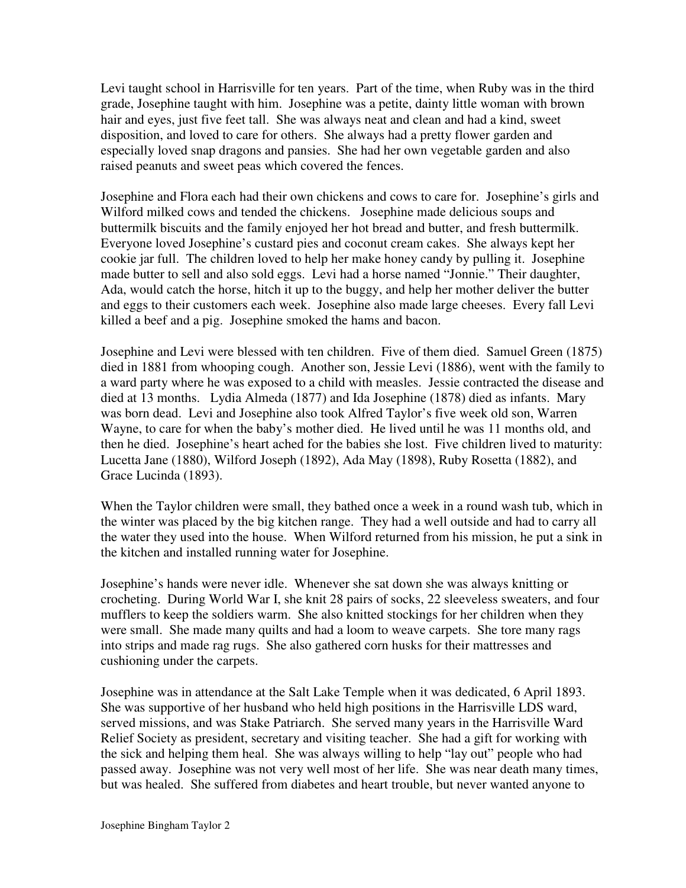Levi taught school in Harrisville for ten years. Part of the time, when Ruby was in the third grade, Josephine taught with him. Josephine was a petite, dainty little woman with brown hair and eyes, just five feet tall. She was always neat and clean and had a kind, sweet disposition, and loved to care for others. She always had a pretty flower garden and especially loved snap dragons and pansies. She had her own vegetable garden and also raised peanuts and sweet peas which covered the fences.

Josephine and Flora each had their own chickens and cows to care for. Josephine's girls and Wilford milked cows and tended the chickens. Josephine made delicious soups and buttermilk biscuits and the family enjoyed her hot bread and butter, and fresh buttermilk. Everyone loved Josephine's custard pies and coconut cream cakes. She always kept her cookie jar full. The children loved to help her make honey candy by pulling it. Josephine made butter to sell and also sold eggs. Levi had a horse named "Jonnie." Their daughter, Ada, would catch the horse, hitch it up to the buggy, and help her mother deliver the butter and eggs to their customers each week. Josephine also made large cheeses. Every fall Levi killed a beef and a pig. Josephine smoked the hams and bacon.

Josephine and Levi were blessed with ten children. Five of them died. Samuel Green (1875) died in 1881 from whooping cough. Another son, Jessie Levi (1886), went with the family to a ward party where he was exposed to a child with measles. Jessie contracted the disease and died at 13 months. Lydia Almeda (1877) and Ida Josephine (1878) died as infants. Mary was born dead. Levi and Josephine also took Alfred Taylor's five week old son, Warren Wayne, to care for when the baby's mother died. He lived until he was 11 months old, and then he died. Josephine's heart ached for the babies she lost. Five children lived to maturity: Lucetta Jane (1880), Wilford Joseph (1892), Ada May (1898), Ruby Rosetta (1882), and Grace Lucinda (1893).

When the Taylor children were small, they bathed once a week in a round wash tub, which in the winter was placed by the big kitchen range. They had a well outside and had to carry all the water they used into the house. When Wilford returned from his mission, he put a sink in the kitchen and installed running water for Josephine.

Josephine's hands were never idle. Whenever she sat down she was always knitting or crocheting. During World War I, she knit 28 pairs of socks, 22 sleeveless sweaters, and four mufflers to keep the soldiers warm. She also knitted stockings for her children when they were small. She made many quilts and had a loom to weave carpets. She tore many rags into strips and made rag rugs. She also gathered corn husks for their mattresses and cushioning under the carpets.

Josephine was in attendance at the Salt Lake Temple when it was dedicated, 6 April 1893. She was supportive of her husband who held high positions in the Harrisville LDS ward, served missions, and was Stake Patriarch. She served many years in the Harrisville Ward Relief Society as president, secretary and visiting teacher. She had a gift for working with the sick and helping them heal. She was always willing to help "lay out" people who had passed away. Josephine was not very well most of her life. She was near death many times, but was healed. She suffered from diabetes and heart trouble, but never wanted anyone to